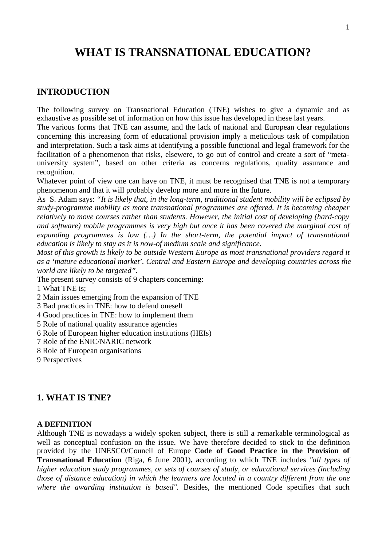# **WHAT IS TRANSNATIONAL EDUCATION?**

### **INTRODUCTION**

The following survey on Transnational Education (TNE) wishes to give a dynamic and as exhaustive as possible set of information on how this issue has developed in these last years.

The various forms that TNE can assume, and the lack of national and European clear regulations concerning this increasing form of educational provision imply a meticulous task of compilation and interpretation. Such a task aims at identifying a possible functional and legal framework for the facilitation of a phenomenon that risks, elsewere, to go out of control and create a sort of "metauniversity system", based on other criteria as concerns regulations, quality assurance and recognition.

Whatever point of view one can have on TNE, it must be recognised that TNE is not a temporary phenomenon and that it will probably develop more and more in the future.

As S. Adam says: *"It is likely that, in the long-term, traditional student mobility will be eclipsed by study-programme mobility as more transnational programmes are offered. It is becoming cheaper relatively to move courses rather than students. However, the initial cost of developing (hard-copy and software) mobile programmes is very high but once it has been covered the marginal cost of expanding programmes is low (…) In the short-term, the potential impact of transnational education is likely to stay as it is now-of medium scale and significance.*

*Most of this growth is likely to be outside Western Europe as most transnational providers regard it as a 'mature educational market'. Central and Eastern Europe and developing countries across the world are likely to be targeted".*

The present survey consists of 9 chapters concerning:

1 What TNE is;

2 Main issues emerging from the expansion of TNE

3 Bad practices in TNE: how to defend oneself

4 Good practices in TNE: how to implement them

- 5 Role of national quality assurance agencies
- 6 Role of European higher education institutions (HEIs)
- 7 Role of the ENIC/NARIC network
- 8 Role of European organisations
- 9 Perspectives

### **1. WHAT IS TNE?**

#### **A DEFINITION**

Although TNE is nowadays a widely spoken subject, there is still a remarkable terminological as well as conceptual confusion on the issue. We have therefore decided to stick to the definition provided by the UNESCO/Council of Europe **Code of Good Practice in the Provision of Transnational Education** (Riga, 6 June 2001)**,** according to which TNE includes *"all types of higher education study programmes, or sets of courses of study, or educational services (including those of distance education) in which the learners are located in a country different from the one where the awarding institution is based".* Besides, the mentioned Code specifies that such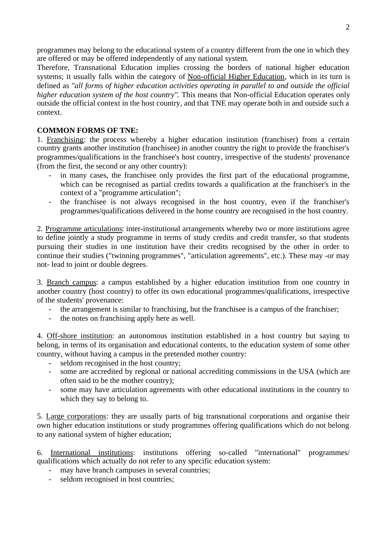programmes may belong to the educational system of a country different from the one in which they are offered or may be offered independently of any national system.

Therefore, Transnational Education implies crossing the borders of national higher education systems; it usually falls within the category of Non-official Higher Education, which in its turn is defined as *"all forms of higher education activities operating in parallel to and outside the official higher education system of the host country"*. This means that Non-official Education operates only outside the official context in the host country, and that TNE may operate both in and outside such a context.

### **COMMON FORMS OF TNE:**

1. Franchising: the process whereby a higher education institution (franchiser) from a certain country grants another institution (franchisee) in another country the right to provide the franchiser's programmes/qualifications in the franchisee's host country, irrespective of the students' provenance (from the first, the second or any other country):

- in many cases, the franchisee only provides the first part of the educational programme, which can be recognised as partial credits towards a qualification at the franchiser's in the context of a "programme articulation";
- the franchisee is not always recognised in the host country, even if the franchiser's programmes/qualifications delivered in the home country are recognised in the host country.

2. Programme articulations: inter-institutional arrangements whereby two or more institutions agree to define jointly a study programme in terms of study credits and credit transfer, so that students pursuing their studies in one institution have their credits recognised by the other in order to continue their studies ("twinning programmes", "articulation agreements", etc.). These may -or may not- lead to joint or double degrees.

3. Branch campus: a campus established by a higher education institution from one country in another country (host country) to offer its own educational programmes/qualifications, irrespective of the students' provenance:

- the arrangement is similar to franchising, but the franchisee is a campus of the franchiser;
- the notes on franchising apply here as well.

4. Off-shore institution: an autonomous institution established in a host country but saying to belong, in terms of its organisation and educational contents, to the education system of some other country, without having a campus in the pretended mother country:

- seldom recognised in the host country;
- some are accredited by regional or national accrediting commissions in the USA (which are often said to be the mother country);
- some may have articulation agreements with other educational institutions in the country to which they say to belong to.

5. Large corporations: they are usually parts of big transnational corporations and organise their own higher education institutions or study programmes offering qualifications which do not belong to any national system of higher education;

6. International institutions: institutions offering so-called "international" programmes/ qualifications which actually do not refer to any specific education system:

- may have branch campuses in several countries;
- seldom recognised in host countries;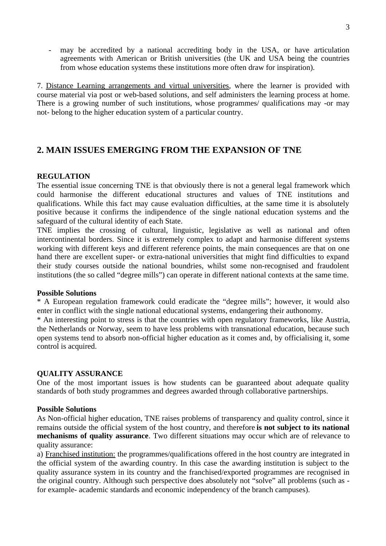may be accredited by a national accrediting body in the USA, or have articulation agreements with American or British universities (the UK and USA being the countries from whose education systems these institutions more often draw for inspiration).

7. Distance Learning arrangements and virtual universities, where the learner is provided with course material via post or web-based solutions, and self administers the learning process at home. There is a growing number of such institutions, whose programmes/ qualifications may -or may not- belong to the higher education system of a particular country.

# **2. MAIN ISSUES EMERGING FROM THE EXPANSION OF TNE**

### **REGULATION**

The essential issue concerning TNE is that obviously there is not a general legal framework which could harmonise the different educational structures and values of TNE institutions and qualifications. While this fact may cause evaluation difficulties, at the same time it is absolutely positive because it confirms the indipendence of the single national education systems and the safeguard of the cultural identity of each State.

TNE implies the crossing of cultural, linguistic, legislative as well as national and often intercontinental borders. Since it is extremely complex to adapt and harmonise different systems working with different keys and different reference points, the main consequences are that on one hand there are excellent super- or extra-national universities that might find difficulties to expand their study courses outside the national boundries, whilst some non-recognised and fraudolent institutions (the so called "degree mills") can operate in different national contexts at the same time.

#### **Possible Solutions**

\* A European regulation framework could eradicate the "degree mills"; however, it would also enter in conflict with the single national educational systems, endangering their authonomy.

\* An interesting point to stress is that the countries with open regulatory frameworks, like Austria, the Netherlands or Norway, seem to have less problems with transnational education, because such open systems tend to absorb non-official higher education as it comes and, by officialising it, some control is acquired.

#### **QUALITY ASSURANCE**

One of the most important issues is how students can be guaranteed about adequate quality standards of both study programmes and degrees awarded through collaborative partnerships.

#### **Possible Solutions**

As Non-official higher education, TNE raises problems of transparency and quality control, since it remains outside the official system of the host country, and therefore **is not subject to its national mechanisms of quality assurance**. Two different situations may occur which are of relevance to quality assurance:

a) Franchised institution: the programmes/qualifications offered in the host country are integrated in the official system of the awarding country. In this case the awarding institution is subject to the quality assurance system in its country and the franchised/exported programmes are recognised in the original country. Although such perspective does absolutely not "solve" all problems (such as for example- academic standards and economic independency of the branch campuses).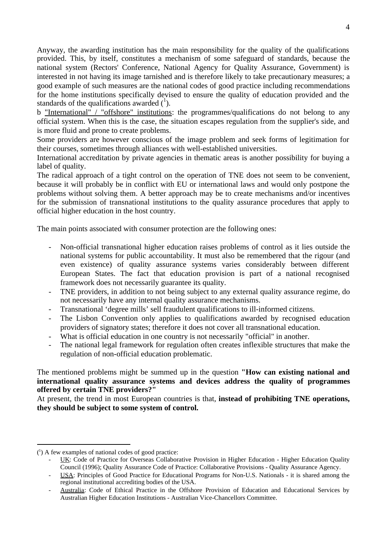Anyway, the awarding institution has the main responsibility for the quality of the qualifications provided. This, by itself, constitutes a mechanism of some safeguard of standards, because the national system (Rectors' Conference, National Agency for Quality Assurance, Government) is interested in not having its image tarnished and is therefore likely to take precautionary measures; a good example of such measures are the national codes of good practice including recommendations for the home institutions specifically devised to ensure the quality of education provided and the standards of the qualifications awarded  $({}^{1})$ .

b "International" / "offshore" institutions: the programmes/qualifications do not belong to any official system. When this is the case, the situation escapes regulation from the supplier's side, and is more fluid and prone to create problems.

Some providers are however conscious of the image problem and seek forms of legitimation for their courses, sometimes through alliances with well-established universities.

International accreditation by private agencies in thematic areas is another possibility for buying a label of quality.

The radical approach of a tight control on the operation of TNE does not seem to be convenient, because it will probably be in conflict with EU or international laws and would only postpone the problems without solving them. A better approach may be to create mechanisms and/or incentives for the submission of transnational institutions to the quality assurance procedures that apply to official higher education in the host country.

The main points associated with consumer protection are the following ones:

- Non-official transnational higher education raises problems of control as it lies outside the national systems for public accountability. It must also be remembered that the rigour (and even existence) of quality assurance systems varies considerably between different European States. The fact that education provision is part of a national recognised framework does not necessarily guarantee its quality.
- TNE providers, in addition to not being subject to any external quality assurance regime, do not necessarily have any internal quality assurance mechanisms.
- Transnational 'degree mills' sell fraudulent qualifications to ill-informed citizens.
- The Lisbon Convention only applies to qualifications awarded by recognised education providers of signatory states; therefore it does not cover all transnational education.
- What is official education in one country is not necessarily "official" in another.
- The national legal framework for regulation often creates inflexible structures that make the regulation of non-official education problematic.

The mentioned problems might be summed up in the question **"How can existing national and international quality assurance systems and devices address the quality of programmes offered by certain TNE providers?"**

At present, the trend in most European countries is that, **instead of prohibiting TNE operations, they should be subject to some system of control.**

l

<sup>(</sup> 1 ) A few examples of national codes of good practice:

UK: Code of Practice for Overseas Collaborative Provision in Higher Education - Higher Education Quality Council (1996); Quality Assurance Code of Practice: Collaborative Provisions - Quality Assurance Agency.

<sup>-</sup> USA : Principles of Good Practice for Educational Programs for Non-U.S. Nationals - it is shared among the regional institutional accrediting bodies of the USA.

Australia: Code of Ethical Practice in the Offshore Provision of Education and Educational Services by Australian Higher Education Institutions - Australian Vice-Chancellors Committee.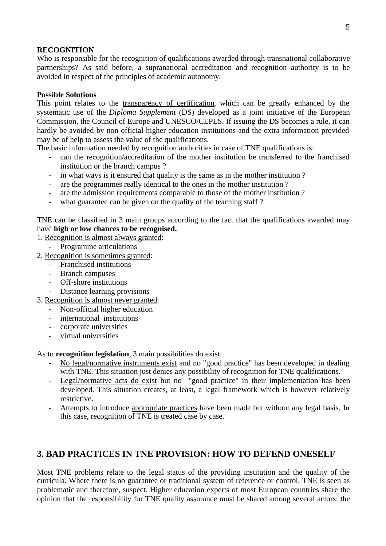### **RECOGNITION**

Who is responsible for the recognition of qualifications awarded through transnational collaborative partnerships? As said before, a supranational accreditation and recognition authority is to be avoided in respect of the principles of academic autonomy.

### **Possible Solutions**

This point relates to the transparency of certification, which can be greatly enhanced by the systematic use of the *Diploma Supplement* (DS) developed as a joint initiative of the European Commission, the Council of Europe and UNESCO/CEPES. If issuing the DS becomes a rule, it can hardly be avoided by non-official higher education institutions and the extra information provided may be of help to assess the value of the qualifications.

The basic information needed by recognition authorities in case of TNE qualifications is:

- can the recognition/accreditation of the mother institution be transferred to the franchised institution or the branch campus ?
- in what ways is it ensured that quality is the same as in the mother institution ?
- are the programmes really identical to the ones in the mother institution ?
- are the admission requirements comparable to those of the mother institution ?
- what guarantee can be given on the quality of the teaching staff?

TNE can be classified in 3 main groups according to the fact that the qualifications awarded may have **high or low chances to be recognised.**

- 1. Recognition is almost always granted:
	- Programme articulations
- 2. Recognition is sometimes granted:
	- Franchised institutions
	- Branch campuses
	- Off-shore institutions
	- Distance learning provisions
- 3. Recognition is almost never granted:
	- Non-official higher education
	- international institutions
	- corporate universities
	- virtual universities

As to **recognition legislation**, 3 main possibilities do exist:

- No legal/normative instruments exist and no "good practice" has been developed in dealing with TNE. This situation just denies any possibility of recognition for TNE qualifications.
- Legal/normative acts do exist but no "good practice" in their implementation has been developed. This situation creates, at least, a legal framework which is however relatively restrictive.
- Attempts to introduce appropriate practices have been made but without any legal basis. In this case, recognition of TNE is treated case by case.

### **3. BAD PRACTICES IN TNE PROVISION: HOW TO DEFEND ONESELF**

Most TNE problems relate to the legal status of the providing institution and the quality of the curricula. Where there is no guarantee or traditional system of reference or control, TNE is seen as problematic and therefore, suspect. Higher education experts of most European countries share the opinion that the responsibility for TNE quality assurance must be shared among several actors: the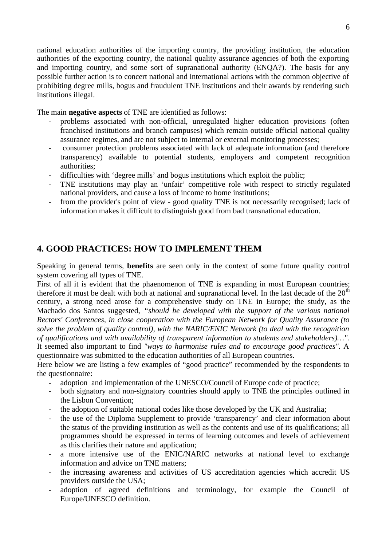national education authorities of the importing country, the providing institution, the education authorities of the exporting country, the national quality assurance agencies of both the exporting and importing country, and some sort of supranational authority (ENQA?). The basis for any possible further action is to concert national and international actions with the common objective of prohibiting degree mills, bogus and fraudulent TNE institutions and their awards by rendering such institutions illegal.

The main **negative aspects** of TNE are identified as follows:

- problems associated with non-official, unregulated higher education provisions (often franchised institutions and branch campuses) which remain outside official national quality assurance regimes, and are not subject to internal or external monitoring processes;
- consumer protection problems associated with lack of adequate information (and therefore transparency) available to potential students, employers and competent recognition authorities;
- difficulties with 'degree mills' and bogus institutions which exploit the public;
- TNE institutions may play an 'unfair' competitive role with respect to strictly regulated national providers, and cause a loss of income to home institutions;
- from the provider's point of view good quality TNE is not necessarily recognised; lack of information makes it difficult to distinguish good from bad transnational education.

# **4. GOOD PRACTICES: HOW TO IMPLEMENT THEM**

Speaking in general terms, **benefits** are seen only in the context of some future quality control system covering all types of TNE.

First of all it is evident that the phaenomenon of TNE is expanding in most European countries; therefore it must be dealt with both at national and supranational level. In the last decade of the  $20<sup>th</sup>$ century, a strong need arose for a comprehensive study on TNE in Europe; the study, as the Machado dos Santos suggested, *"should be developed with the support of the various national Rectors' Conferences, in close cooperation with the European Network for Quality Assurance (to solve the problem of quality control), with the NARIC/ENIC Network (to deal with the recognition of qualifications and with availability of transparent information to students and stakeholders)…".* It seemed also important to find *"ways to harmonise rules and to encourage good practices".* A questionnaire was submitted to the education authorities of all European countries.

Here below we are listing a few examples of "good practice" recommended by the respondents to the questionnaire:

- adoption and implementation of the UNESCO/Council of Europe code of practice;
- both signatory and non-signatory countries should apply to TNE the principles outlined in the Lisbon Convention;
- the adoption of suitable national codes like those developed by the UK and Australia;
- the use of the Diploma Supplement to provide 'transparency' and clear information about the status of the providing institution as well as the contents and use of its qualifications; all programmes should be expressed in terms of learning outcomes and levels of achievement as this clarifies their nature and application;
- a more intensive use of the ENIC/NARIC networks at national level to exchange information and advice on TNE matters;
- the increasing awareness and activities of US accreditation agencies which accredit US providers outside the USA;
- adoption of agreed definitions and terminology, for example the Council of Europe/UNESCO definition.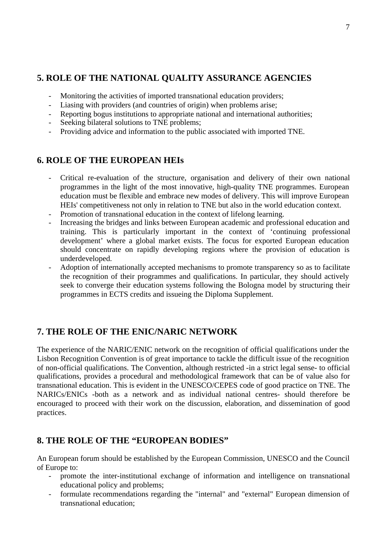# **5. ROLE OF THE NATIONAL QUALITY ASSURANCE AGENCIES**

- Monitoring the activities of imported transnational education providers;
- Liasing with providers (and countries of origin) when problems arise;
- Reporting bogus institutions to appropriate national and international authorities;
- Seeking bilateral solutions to TNE problems;
- Providing advice and information to the public associated with imported TNE.

# **6. ROLE OF THE EUROPEAN HEIs**

- Critical re-evaluation of the structure, organisation and delivery of their own national programmes in the light of the most innovative, high-quality TNE programmes. European education must be flexible and embrace new modes of delivery. This will improve European HEIs' competitiveness not only in relation to TNE but also in the world education context.
- Promotion of transnational education in the context of lifelong learning.
- Increasing the bridges and links between European academic and professional education and training. This is particularly important in the context of 'continuing professional development' where a global market exists. The focus for exported European education should concentrate on rapidly developing regions where the provision of education is underdeveloped.
- Adoption of internationally accepted mechanisms to promote transparency so as to facilitate the recognition of their programmes and qualifications. In particular, they should actively seek to converge their education systems following the Bologna model by structuring their programmes in ECTS credits and issueing the Diploma Supplement.

# **7. THE ROLE OF THE ENIC/NARIC NETWORK**

The experience of the NARIC/ENIC network on the recognition of official qualifications under the Lisbon Recognition Convention is of great importance to tackle the difficult issue of the recognition of non-official qualifications. The Convention, although restricted -in a strict legal sense- to official qualifications, provides a procedural and methodological framework that can be of value also for transnational education. This is evident in the UNESCO/CEPES code of good practice on TNE. The NARICs/ENICs -both as a network and as individual national centres- should therefore be encouraged to proceed with their work on the discussion, elaboration, and dissemination of good practices.

# **8. THE ROLE OF THE "EUROPEAN BODIES"**

An European forum should be established by the European Commission, UNESCO and the Council of Europe to:

- promote the inter-institutional exchange of information and intelligence on transnational educational policy and problems;
- formulate recommendations regarding the "internal" and "external" European dimension of transnational education;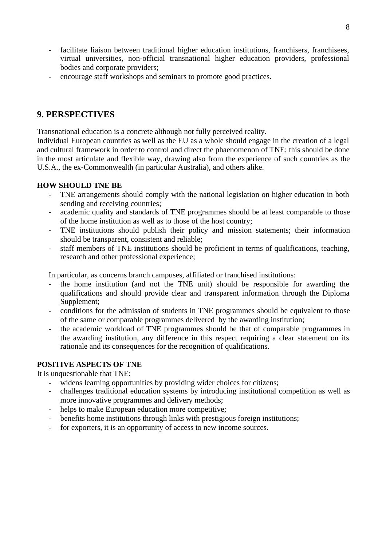- facilitate liaison between traditional higher education institutions, franchisers, franchisees, virtual universities, non-official transnational higher education providers, professional bodies and corporate providers;
- encourage staff workshops and seminars to promote good practices.

# **9. PERSPECTIVES**

Transnational education is a concrete although not fully perceived reality.

Individual European countries as well as the EU as a whole should engage in the creation of a legal and cultural framework in order to control and direct the phaenomenon of TNE; this should be done in the most articulate and flexible way, drawing also from the experience of such countries as the U.S.A., the ex-Commonwealth (in particular Australia), and others alike.

### **HOW SHOULD TNE BE**

- TNE arrangements should comply with the national legislation on higher education in both sending and receiving countries;
- academic quality and standards of TNE programmes should be at least comparable to those of the home institution as well as to those of the host country;
- TNE institutions should publish their policy and mission statements; their information should be transparent, consistent and reliable;
- staff members of TNE institutions should be proficient in terms of qualifications, teaching, research and other professional experience;

In particular, as concerns branch campuses, affiliated or franchised institutions:

- the home institution (and not the TNE unit) should be responsible for awarding the qualifications and should provide clear and transparent information through the Diploma Supplement;
- conditions for the admission of students in TNE programmes should be equivalent to those of the same or comparable programmes delivered by the awarding institution;
- the academic workload of TNE programmes should be that of comparable programmes in the awarding institution, any difference in this respect requiring a clear statement on its rationale and its consequences for the recognition of qualifications.

#### **POSITIVE ASPECTS OF TNE**

It is unquestionable that TNE:

- widens learning opportunities by providing wider choices for citizens;
- challenges traditional education systems by introducing institutional competition as well as more innovative programmes and delivery methods;
- helps to make European education more competitive;
- benefits home institutions through links with prestigious foreign institutions;
- for exporters, it is an opportunity of access to new income sources.